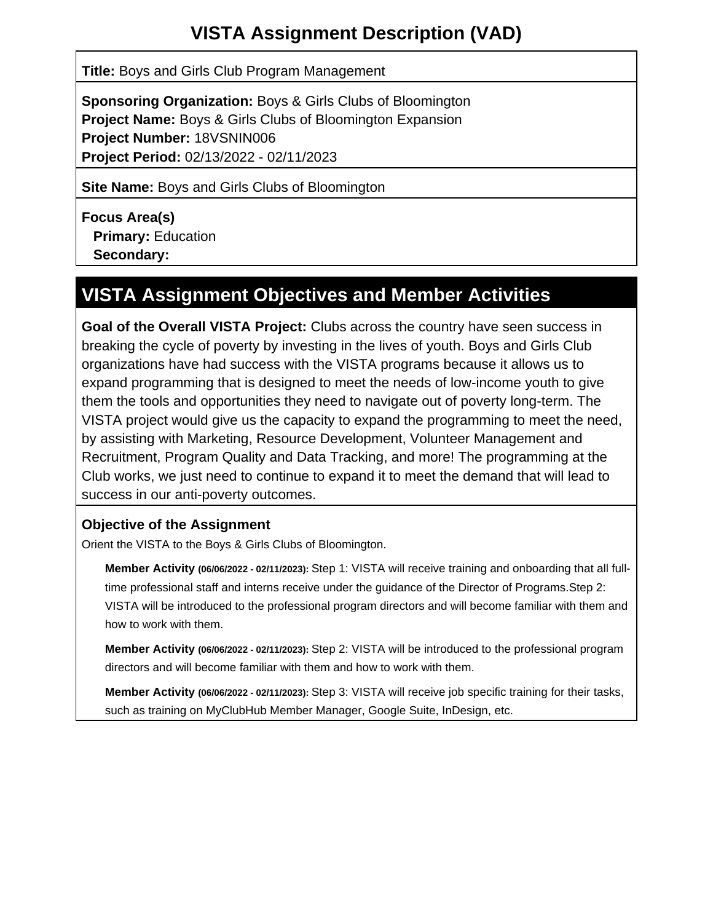# **VISTA Assignment Description (VAD)**

**Title:** Boys and Girls Club Program Management

**Sponsoring Organization:** Boys & Girls Clubs of Bloomington **Project Name:** Boys & Girls Clubs of Bloomington Expansion **Project Number:** 18VSNIN006 **Project Period:** 02/13/2022 - 02/11/2023

**Site Name:** Boys and Girls Clubs of Bloomington

**Focus Area(s) Primary:** Education  **Secondary:**

# **VISTA Assignment Objectives and Member Activities**

**Goal of the Overall VISTA Project:** Clubs across the country have seen success in breaking the cycle of poverty by investing in the lives of youth. Boys and Girls Club organizations have had success with the VISTA programs because it allows us to expand programming that is designed to meet the needs of low-income youth to give them the tools and opportunities they need to navigate out of poverty long-term. The VISTA project would give us the capacity to expand the programming to meet the need, by assisting with Marketing, Resource Development, Volunteer Management and Recruitment, Program Quality and Data Tracking, and more! The programming at the Club works, we just need to continue to expand it to meet the demand that will lead to success in our anti-poverty outcomes.

# **Objective of the Assignment**

Orient the VISTA to the Boys & Girls Clubs of Bloomington.

**Member Activity (06/06/2022 - 02/11/2023):** Step 1: VISTA will receive training and onboarding that all fulltime professional staff and interns receive under the guidance of the Director of Programs.Step 2: VISTA will be introduced to the professional program directors and will become familiar with them and how to work with them.

**Member Activity (06/06/2022 - 02/11/2023):** Step 2: VISTA will be introduced to the professional program directors and will become familiar with them and how to work with them.

**Member Activity (06/06/2022 - 02/11/2023):** Step 3: VISTA will receive job specific training for their tasks, such as training on MyClubHub Member Manager, Google Suite, InDesign, etc.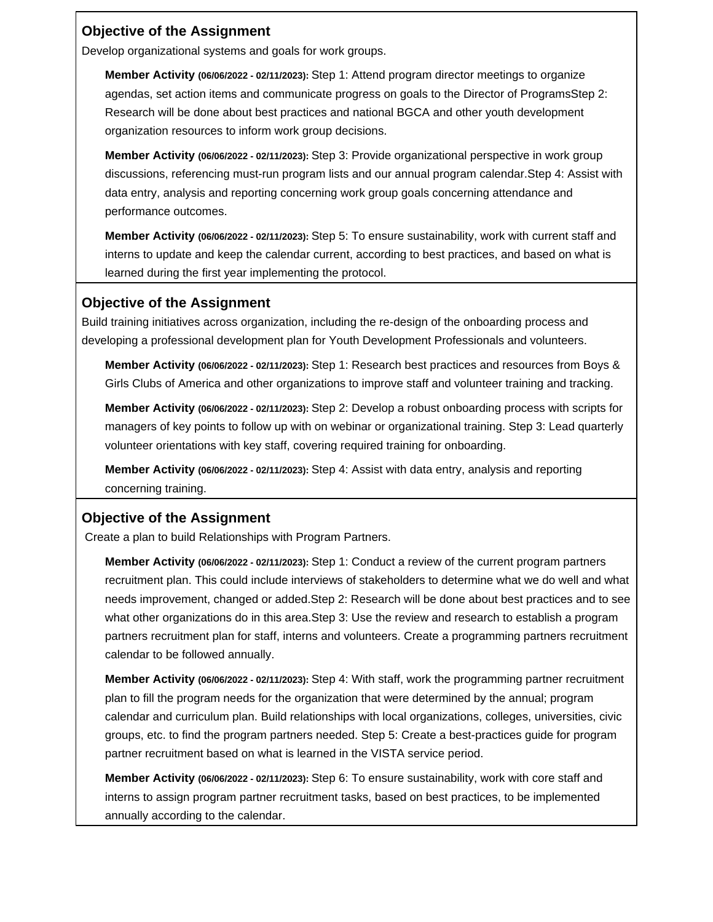#### **Objective of the Assignment**

Develop organizational systems and goals for work groups.

**Member Activity (06/06/2022 - 02/11/2023):** Step 1: Attend program director meetings to organize agendas, set action items and communicate progress on goals to the Director of ProgramsStep 2: Research will be done about best practices and national BGCA and other youth development organization resources to inform work group decisions.

**Member Activity (06/06/2022 - 02/11/2023):** Step 3: Provide organizational perspective in work group discussions, referencing must-run program lists and our annual program calendar.Step 4: Assist with data entry, analysis and reporting concerning work group goals concerning attendance and performance outcomes.

**Member Activity (06/06/2022 - 02/11/2023):** Step 5: To ensure sustainability, work with current staff and interns to update and keep the calendar current, according to best practices, and based on what is learned during the first year implementing the protocol.

#### **Objective of the Assignment**

Build training initiatives across organization, including the re-design of the onboarding process and developing a professional development plan for Youth Development Professionals and volunteers.

**Member Activity (06/06/2022 - 02/11/2023):** Step 1: Research best practices and resources from Boys & Girls Clubs of America and other organizations to improve staff and volunteer training and tracking.

**Member Activity (06/06/2022 - 02/11/2023):** Step 2: Develop a robust onboarding process with scripts for managers of key points to follow up with on webinar or organizational training. Step 3: Lead quarterly volunteer orientations with key staff, covering required training for onboarding.

**Member Activity (06/06/2022 - 02/11/2023):** Step 4: Assist with data entry, analysis and reporting concerning training.

# **Objective of the Assignment**

Create a plan to build Relationships with Program Partners.

**Member Activity (06/06/2022 - 02/11/2023):** Step 1: Conduct a review of the current program partners recruitment plan. This could include interviews of stakeholders to determine what we do well and what needs improvement, changed or added.Step 2: Research will be done about best practices and to see what other organizations do in this area.Step 3: Use the review and research to establish a program partners recruitment plan for staff, interns and volunteers. Create a programming partners recruitment calendar to be followed annually.

**Member Activity (06/06/2022 - 02/11/2023):** Step 4: With staff, work the programming partner recruitment plan to fill the program needs for the organization that were determined by the annual; program calendar and curriculum plan. Build relationships with local organizations, colleges, universities, civic groups, etc. to find the program partners needed. Step 5: Create a best-practices guide for program partner recruitment based on what is learned in the VISTA service period.

**Member Activity (06/06/2022 - 02/11/2023):** Step 6: To ensure sustainability, work with core staff and interns to assign program partner recruitment tasks, based on best practices, to be implemented annually according to the calendar.